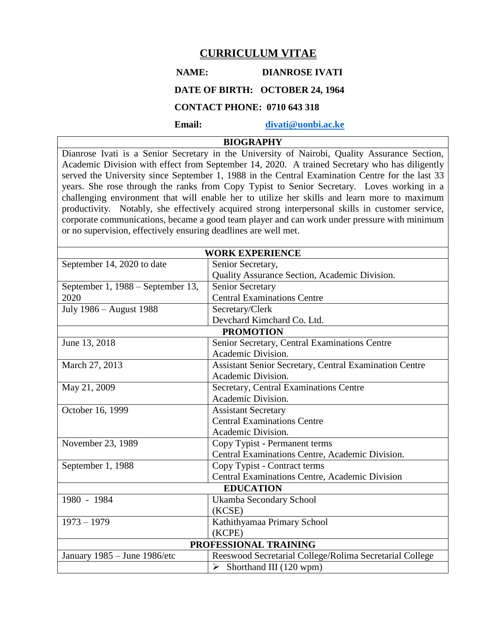# **CURRICULUM VITAE**

## **NAME: DIANROSE IVATI**

# **DATE OF BIRTH: OCTOBER 24, 1964**

# **CONTACT PHONE: 0710 643 318**

 **Email: [divati@uonbi.ac.ke](mailto:divati@uonbi.ac.ke)**

# **BIOGRAPHY**

Dianrose Ivati is a Senior Secretary in the University of Nairobi, Quality Assurance Section, Academic Division with effect from September 14, 2020. A trained Secretary who has diligently served the University since September 1, 1988 in the Central Examination Centre for the last 33 years. She rose through the ranks from Copy Typist to Senior Secretary. Loves working in a challenging environment that will enable her to utilize her skills and learn more to maximum productivity. Notably, she effectively acquired strong interpersonal skills in customer service, corporate communications, became a good team player and can work under pressure with minimum or no supervision, effectively ensuring deadlines are well met.

| <b>WORK EXPERIENCE</b>            |                                                         |  |
|-----------------------------------|---------------------------------------------------------|--|
| September 14, 2020 to date        | Senior Secretary,                                       |  |
|                                   | Quality Assurance Section, Academic Division.           |  |
| September 1, 1988 – September 13, | <b>Senior Secretary</b>                                 |  |
| 2020                              | <b>Central Examinations Centre</b>                      |  |
| July 1986 - August 1988           | Secretary/Clerk                                         |  |
|                                   | Devchard Kimchard Co. Ltd.                              |  |
| <b>PROMOTION</b>                  |                                                         |  |
| June 13, 2018                     | Senior Secretary, Central Examinations Centre           |  |
|                                   | Academic Division.                                      |  |
| March 27, 2013                    | Assistant Senior Secretary, Central Examination Centre  |  |
|                                   | Academic Division.                                      |  |
| May 21, 2009                      | Secretary, Central Examinations Centre                  |  |
|                                   | Academic Division.                                      |  |
| October 16, 1999                  | <b>Assistant Secretary</b>                              |  |
|                                   | <b>Central Examinations Centre</b>                      |  |
|                                   | Academic Division.                                      |  |
| November 23, 1989                 | Copy Typist - Permanent terms                           |  |
|                                   | Central Examinations Centre, Academic Division.         |  |
| September 1, 1988                 | Copy Typist - Contract terms                            |  |
|                                   | Central Examinations Centre, Academic Division          |  |
| <b>EDUCATION</b>                  |                                                         |  |
| 1980 - 1984                       | Ukamba Secondary School                                 |  |
|                                   | (KCSE)                                                  |  |
| $1973 - 1979$                     | Kathithyamaa Primary School                             |  |
|                                   | (KCPE)                                                  |  |
| PROFESSIONAL TRAINING             |                                                         |  |
| January 1985 - June 1986/etc      | Reeswood Secretarial College/Rolima Secretarial College |  |
|                                   | Shorthand III (120 wpm)<br>➤                            |  |